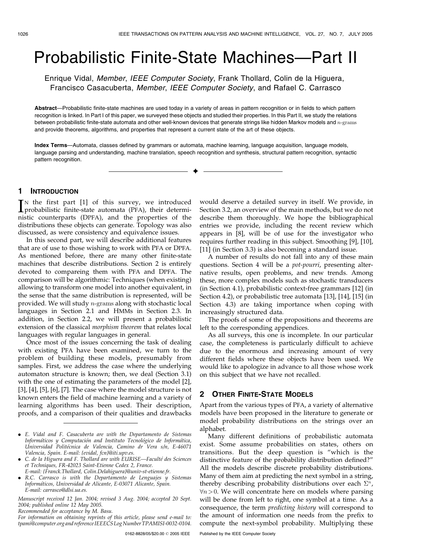# Probabilistic Finite-State Machines—Part II

Enrique Vidal, Member, IEEE Computer Society, Frank Thollard, Colin de la Higuera, Francisco Casacuberta, Member, IEEE Computer Society, and Rafael C. Carrasco

Abstract—Probabilistic finite-state machines are used today in a variety of areas in pattern recognition or in fields to which pattern recognition is linked. In Part I of this paper, we surveyed these objects and studied their properties. In this Part II, we study the relations between probabilistic finite-state automata and other well-known devices that generate strings like hidden Markov models and  $n$ -grams and provide theorems, algorithms, and properties that represent a current state of the art of these objects.

Index Terms—Automata, classes defined by grammars or automata, machine learning, language acquisition, language models, language parsing and understanding, machine translation, speech recognition and synthesis, structural pattern recognition, syntactic pattern recognition.

 $\ddotmark$ 

## 1 INTRODUCTION

 $\sum_{\text{infinite}}$  is first part [1] of this survey, we introduced<br>probabilistic finite-state automata (PFA), their determi-<br>pictic counterparts (DPFA), and the proportion of the probabilistic finite-state automata (PFA), their deterministic counterparts (DPFA), and the properties of the distributions these objects can generate. Topology was also discussed, as were consistency and equivalence issues.

In this second part, we will describe additional features that are of use to those wishing to work with PFA or DPFA. As mentioned before, there are many other finite-state machines that describe distributions. Section 2 is entirely devoted to compareing them with PFA and DPFA. The comparison will be algorithmic: Techniques (when existing) allowing to transform one model into another equivalent, in the sense that the same distribution is represented, will be provided. We will study  $n$ -grams along with stochastic local languages in Section 2.1 and HMMs in Section 2.3. In addition, in Section 2.2, we will present a probabilistic extension of the classical morphism theorem that relates local languages with regular languages in general.

Once most of the issues concerning the task of dealing with existing PFA have been examined, we turn to the problem of building these models, presumably from samples. First, we address the case where the underlying automaton structure is known; then, we deal (Section 3.1) with the one of estimating the parameters of the model [2], [3], [4], [5], [6], [7]. The case where the model structure is not known enters the field of machine learning and a variety of learning algorithms has been used. Their description, proofs, and a comparison of their qualities and drawbacks

Manuscript received 12 Jan. 2004; revised 3 Aug. 2004; accepted 20 Sept. 2004; published online 12 May 2005.

Recommended for acceptance by M. Basu.

For information on obtaining reprints of this article, please send e-mail to: tpami@computer.org and reference IEEECS Log Number TPAMISI-0032-0104. would deserve a detailed survey in itself. We provide, in Section 3.2, an overview of the main methods, but we do not describe them thoroughly. We hope the bibliographical entries we provide, including the recent review which appears in [8], will be of use for the investigator who requires further reading in this subject. Smoothing [9], [10], [11] (in Section 3.3) is also becoming a standard issue.

A number of results do not fall into any of these main questions. Section 4 will be a pot-pourri, presenting alternative results, open problems, and new trends. Among these, more complex models such as stochastic transducers (in Section 4.1), probabilistic context-free grammars [12] (in Section 4.2), or probabilistic tree automata [13], [14], [15] (in Section 4.3) are taking importance when coping with increasingly structured data.

The proofs of some of the propositions and theorems are left to the corresponding appendices.

As all surveys, this one is incomplete. In our particular case, the completeness is particularly difficult to achieve due to the enormous and increasing amount of very different fields where these objects have been used. We would like to apologize in advance to all those whose work on this subject that we have not recalled.

# 2 OTHER FINITE-STATE MODELS

Apart from the various types of PFA, a variety of alternative models have been proposed in the literature to generate or model probability distributions on the strings over an alphabet.

Many different definitions of probabilistic automata exist. Some assume probabilities on states, others on transitions. But the deep question is "which is the distinctive feature of the probability distribution defined?" All the models describe discrete probability distributions. Many of them aim at predicting the next symbol in a string, thereby describing probability distributions over each  $\Sigma^n$ ,  $\forall n>0$ . We will concentrate here on models where parsing will be done from left to right, one symbol at a time. As a consequence, the term predicting history will correspond to the amount of information one needs from the prefix to compute the next-symbol probability. Multiplying these

<sup>.</sup> E. Vidal and F. Casacuberta are with the Departamento de Sistemas Informáticos y Computación and Instituto Tecnológico de Informática, Universidad Polite´cnica de Valencia, Camino dr Vera s/n, E-46071 Valencia, Spain. E-mail: {evidal, fcn}@iti.upv.es.

<sup>•</sup> C. de la Higuera and F. Thollard are with EURISE—Faculté des Sciences et Techniques, FR-42023 Saint-Etienne Cedex 2, France.

E-mail: {Franck.Thollard, Colin.Delahiguera}@univ-st-etienne.fr.

<sup>•</sup> R.C. Carrasco is with the Departamento de Lenguajes y Sistemas Informa´ticos, Universidad de Alicante, E-03071 Alicante, Spain. E-mail: carrasco@dlsi.ua.es.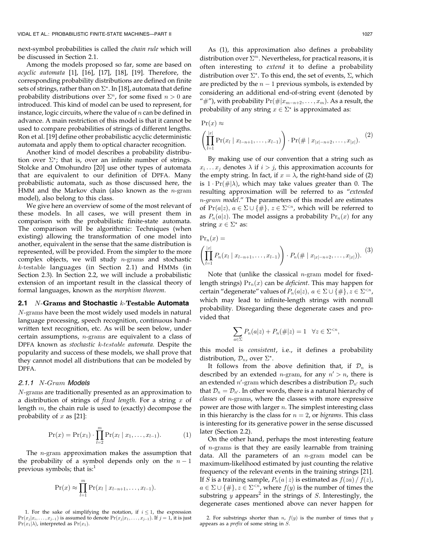next-symbol probabilities is called the chain rule which will be discussed in Section 2.1.

Among the models proposed so far, some are based on acyclic automata [1], [16], [17], [18], [19]. Therefore, the corresponding probability distributions are defined on finite sets of strings, rather than on  $\Sigma^*$ . In [18], automata that define probability distributions over  $\Sigma<sup>n</sup>$ , for some fixed  $n > 0$  are introduced. This kind of model can be used to represent, for instance, logic circuits, where the value of  $n$  can be defined in advance. A main restriction of this model is that it cannot be used to compare probabilities of strings of different lengths. Ron et al. [19] define other probabilistic acyclic deterministic automata and apply them to optical character recognition.

Another kind of model describes a probability distribution over  $\Sigma^*$ ; that is, over an infinite number of strings. Stolcke and Omohundro [20] use other types of automata that are equivalent to our definition of DPFA. Many probabilistic automata, such as those discussed here, the HMM and the Markov chain (also known as the  $n$ -gram model), also belong to this class.

We give here an overview of some of the most relevant of these models. In all cases, we will present them in comparison with the probabilistic finite-state automata. The comparison will be algorithmic: Techniques (when existing) allowing the transformation of one model into another, equivalent in the sense that the same distribution is represented, will be provided. From the simpler to the more complex objects, we will study  $n$ -grams and stochastic  $k$ -testable languages (in Section 2.1) and HMMs (in Section 2.3). In Section 2.2, we will include a probabilistic extension of an important result in the classical theory of formal languages, known as the morphism theorem.

## 2.1  $N$ -Grams and Stochastic  $k$ -Testable Automata

N-grams have been the most widely used models in natural language processing, speech recognition, continuous handwritten text recognition, etc. As will be seen below, under certain assumptions,  $n$ -grams are equivalent to a class of DPFA known as stochastic k-testable automata. Despite the popularity and success of these models, we shall prove that they cannot model all distributions that can be modeled by DPFA.

#### 2.1.1 N-Gram Models

N-grams are traditionally presented as an approximation to a distribution of strings of fixed length. For a string  $x$  of length m, the chain rule is used to (exactly) decompose the probability of  $x$  as [21]:

$$
Pr(x) = Pr(x_1) \cdot \prod_{l=2}^{m} Pr(x_l | x_1, \dots, x_{l-1}).
$$
 (1)

The  $n$ -gram approximation makes the assumption that the probability of a symbol depends only on the  $n-1$ previous symbols; that is: $<sup>1</sup>$ </sup>

$$
\Pr(x) \approx \prod_{l=1}^m \Pr(x_l \mid x_{l-n+1}, \ldots, x_{l-1}).
$$

1. For the sake of simplifying the notation, if  $i \leq 1$ , the expression  $Pr(x_j|x_i, \ldots, x_{j-1})$  is assumed to denote  $Pr(x_j|x_1, \ldots, x_{j-1})$ . If  $j = 1$ , it is just  $Pr(x_1|\lambda)$ , interpreted as  $Pr(x_1)$ .

As (1), this approximation also defines a probability distribution over  $\Sigma^m$ . Nevertheless, for practical reasons, it is often interesting to extend it to define a probability distribution over  $\Sigma^*$ . To this end, the set of events,  $\Sigma$ , which are predicted by the  $n-1$  previous symbols, is extended by considering an additional end-of-string event (denoted by "#"), with probability  $\Pr(\#|x_{m-n+2},\ldots,x_{m}).$  As a result, the probability of any string  $x \in \Sigma^*$  is approximated as:

$$
\Pr(x) \approx \left(\prod_{l=1}^{|x|} \Pr(x_l | x_{l-n+1}, \dots, x_{l-1})\right) \cdot \Pr(\# | x_{|x|-n+2}, \dots, x_{|x|}). \tag{2}
$$

By making use of our convention that a string such as  $x_i \dots x_j$  denotes  $\lambda$  if  $i > j$ , this approximation accounts for the empty string. In fact, if  $x = \lambda$ , the right-hand side of (2) is  $1 \cdot Pr(\#|\lambda)$ , which may take values greater than 0. The resulting approximation will be referred to as "extended n-gram model." The parameters of this model are estimates of  $Pr(a|z)$ ,  $a \in \Sigma \cup \{\#\}, z \in \Sigma^{, which will be referred to$ as  $P_n(a|z)$ . The model assigns a probability  $Pr_n(x)$  for any string  $x \in \Sigma^*$  as:

$$
\Pr_n(x) = \left( \prod_{l=1}^{|x|} P_n(x_l \mid x_{l-n+1}, \dots, x_{l-1}) \right) \cdot P_n(\# \mid x_{|x|-n+2}, \dots, x_{|x|}) ). \tag{3}
$$

Note that (unlike the classical  $n$ -gram model for fixedlength strings)  $Pr_n(x)$  can be *deficient*. This may happen for certain "degenerate" values of  $P_n(a|z)$ ,  $a \in \Sigma \cup \{\#\}, z \in \Sigma^{< n}$ , which may lead to infinite-length strings with nonnull probability. Disregarding these degenerate cases and provided that

$$
\sum_{a\in\Sigma} P_n(a|z) + P_n(\#|z) = 1 \quad \forall z \in \Sigma^{
$$

this model is consistent, i.e., it defines a probability distribution,  $\mathcal{D}_n$ , over  $\Sigma^*$ .

It follows from the above definition that, if  $\mathcal{D}_n$  is described by an extended *n*-gram, for any  $n' > n$ , there is an extended  $n'$ -gram which describes a distribution  $\mathcal{D}_{n'}$  such that  $\mathcal{D}_n = \mathcal{D}_{n'}$ . In other words, there is a natural hierarchy of classes of n-grams, where the classes with more expressive power are those with larger  $n$ . The simplest interesting class in this hierarchy is the class for  $n = 2$ , or *bigrams*. This class is interesting for its generative power in the sense discussed later (Section 2.2).

On the other hand, perhaps the most interesting feature of  $n$ -grams is that they are easily learnable from training data. All the parameters of an  $n$ -gram model can be maximum-likelihood estimated by just counting the relative frequency of the relevant events in the training strings [21]. If S is a training sample,  $P_n(a \mid z)$  is estimated as  $f(za) / f(z)$ ,  $a \in \Sigma \cup \{\#\}, z \in \Sigma^{< n}$ , where  $f(y)$  is the number of times the substring  $y$  appears<sup>2</sup> in the strings of  $S$ . Interestingly, the degenerate cases mentioned above can never happen for

<sup>2.</sup> For substrings shorter than  $n$ ,  $f(y)$  is the number of times that  $y$ appears as a  $prefix$  of some string in  $S$ .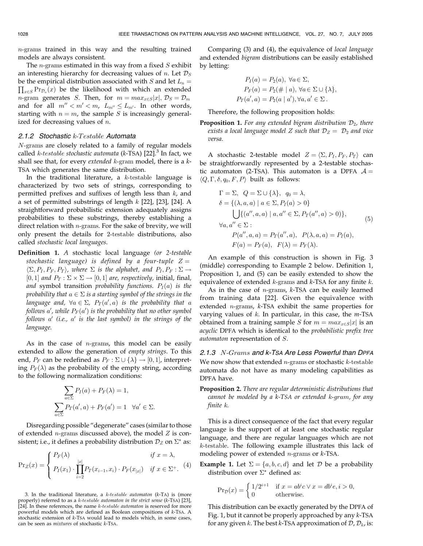n-grams trained in this way and the resulting trained models are always consistent.

The  $n$ -grams estimated in this way from a fixed  $S$  exhibit an interesting hierarchy for decreasing values of  $n$ . Let  $\mathcal{D}_S$ be the empirical distribution associated with  $S$  and let  $L_n =$  $\prod_{x \in S} \Pr_{\mathcal{D}_n}(x)$  be the likelihood with which an extended *n*-gram generates *S*. Then, for  $m = max_{x \in S}|x|$ ,  $\mathcal{D}_S = \mathcal{D}_m$ and for all  $m'' < m' < m$ ,  $L_{m''} \le L_{m'}$ . In other words, starting with  $n = m$ , the sample S is increasingly generalized for decreasing values of  $n$ .

#### 2.1.2 Stochastic  $k-Testable$  Automata

N-grams are closely related to a family of regular models called k-testable stochastic automata (k-TSA) [22].<sup>3</sup> In fact, we shall see that, for every extended  $k$ -gram model, there is a  $k$ -TSA which generates the same distribution.

In the traditional literature, a  $k$ -testable language is characterized by two sets of strings, corresponding to permitted prefixes and suffixes of length less than  $k$ , and a set of permitted substrings of length  $k$  [22], [23], [24]. A straightforward probabilistic extension adequately assigns probabilities to these substrings, thereby establishing a direct relation with  $n$ -grams. For the sake of brevity, we will only present the details for 2-testable distributions, also called stochastic local languages.

Definition 1. A stochastic local language (or 2-testable stochastic language) is defined by a four-tuple  $Z =$  $\langle \Sigma, P_I, P_F, P_T \rangle$ , where  $\Sigma$  is the alphabet, and  $P_I, P_F : \Sigma \rightarrow$ [0, 1] and  $P_T : \Sigma \times \Sigma \rightarrow [0, 1]$  are, respectively, initial, final, and symbol transition probability functions.  $P_I(a)$  is the probability that  $a \in \Sigma$  is a starting symbol of the strings in the language and,  $\forall a \in \Sigma$ ,  $P_T(a', a)$  is the probability that a follows  $a'$ , while  $P_F(a')$  is the probability that no other symbol follows  $a'$  (i.e.,  $a'$  is the last symbol) in the strings of the language.

As in the case of  $n$ -grams, this model can be easily extended to allow the generation of empty strings. To this end,  $P_F$  can be redefined as  $P_F : \Sigma \cup \{\lambda\} \rightarrow [0,1]$ , interpreting  $P_F(\lambda)$  as the probability of the empty string, according to the following normalization conditions:

$$
\sum_{a \in \Sigma} P_I(a) + P_F(\lambda) = 1,
$$
  

$$
\sum_{a \in \Sigma} P_T(a', a) + P_F(a') = 1 \quad \forall a' \in \Sigma.
$$

Disregarding possible "degenerate" cases (similar to those of extended  $n$ -grams discussed above), the model  $Z$  is consistent; i.e., it defines a probability distribution  $\mathcal{D}_Z$  on  $\Sigma^*$  as:

$$
\Pr_Z(x) = \begin{cases} P_F(\lambda) & \text{if } x = \lambda, \\ P_I(x_1) \cdot \prod_{i=2}^{|x|} P_T(x_{i-1}, x_i) \cdot P_F(x_{|x|}) & \text{if } x \in \Sigma^+. \end{cases} (4)
$$

3. In the traditional literature, a k-testable automaton (k-TA) is (more properly) referred to as a k-testable automaton in the strict sense (k-TSA) [23],  $[24]$ . In these references, the name k-testable automaton is reserved for more powerful models which are defined as Boolean compositions of k-TSA. A stochastic extension of k-TSA would lead to models which, in some cases, can be seen as mixtures of stochastic k-TSA.

Comparing (3) and (4), the equivalence of local language and extended bigram distributions can be easily established by letting:

$$
P_I(a) = P_2(a), \forall a \in \Sigma,
$$
  
\n
$$
P_F(a) = P_2(\# \mid a), \forall a \in \Sigma \cup \{\lambda\},
$$
  
\n
$$
P_T(a', a) = P_2(a \mid a'), \forall a, a' \in \Sigma.
$$

Therefore, the following proposition holds:

**Proposition 1.** For any extended bigram distribution  $\mathcal{D}_2$ , there exists a local language model Z such that  $\mathcal{D}_Z = \mathcal{D}_2$  and vice versa.

A stochastic 2-testable model  $Z = \langle \Sigma, P_I, P_F, P_T \rangle$  can be straightforwardly represented by a 2-testable stochastic automaton (2-TSA). This automaton is a DPFA  $A =$  $\langle Q, \Gamma, \delta, q_0, F, P \rangle$  built as follows:

$$
\Gamma = \Sigma, \quad Q = \Sigma \cup \{\lambda\}, \quad q_0 = \lambda,
$$
  
\n
$$
\delta = \{(\lambda, a, a) \mid a \in \Sigma, P_I(a) > 0\}
$$
  
\n
$$
\bigcup \{ (a'', a, a) \mid a, a'' \in \Sigma, P_T(a'', a) > 0) \},
$$
  
\n
$$
\forall a, a'' \in \Sigma :
$$
  
\n
$$
P(a'', a, a) = P_T(a'', a), \quad P(\lambda, a, a) = P_I(a),
$$
  
\n
$$
F(a) = P_F(a), \quad F(\lambda) = P_F(\lambda).
$$
  
\n(5)

An example of this construction is shown in Fig. 3 (middle) corresponding to Example 2 below. Definition 1, Proposition 1, and (5) can be easily extended to show the equivalence of extended  $k$ -grams and  $k$ -TSA for any finite  $k$ .

As in the case of  $n$ -grams,  $k$ -TSA can be easily learned from training data [22]. Given the equivalence with extended n-grams, k-TSA exhibit the same properties for varying values of  $k$ . In particular, in this case, the  $m$ -TSA obtained from a training sample S for  $m = max_{x \in S}|x|$  is an acyclic DPFA which is identical to the probabilistic prefix tree automaton representation of S.

2.1.3 N-Grams and k-Tsa Are Less Powerful than DPFA We now show that extended  $n$ -grams or stochastic  $k$ -testable automata do not have as many modeling capabilities as DPFA have.

Proposition 2. There are regular deterministic distributions that cannot be modeled by a k-TSA or extended k-gram, for any finite k.

This is a direct consequence of the fact that every regular language is the support of at least one stochastic regular language, and there are regular languages which are not k-testable. The following example illustrates this lack of modeling power of extended n-grams or k-TSA.

**Example 1.** Let  $\Sigma = \{a, b, c, d\}$  and let D be a probability distribution over  $\Sigma^*$  defined as:

$$
\Pr_{\mathcal{D}}(x) = \begin{cases} 1/2^{i+1} & \text{if } x = ab^i c \lor x = db^i e, i > 0, \\ 0 & \text{otherwise.} \end{cases}
$$

This distribution can be exactly generated by the DPFA of Fig. 1, but it cannot be properly approached by any k-TSA for any given k. The best k-TSA approximation of  $D$ ,  $D_k$ , is: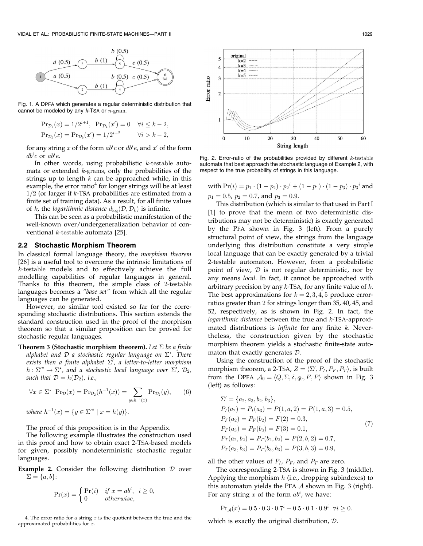

Fig. 1. A DPFA which generates a regular deterministic distribution that cannot be modeled by any  $k$ -TSA or  $n$ -gram.

$$
\Pr_{\mathcal{D}_k}(x) = 1/2^{i+1}, \quad \Pr_{\mathcal{D}_k}(x') = 0 \quad \forall i \le k - 2,
$$
  

$$
\Pr_{\mathcal{D}_k}(x) = \Pr_{\mathcal{D}_k}(x') = 1/2^{i+2} \qquad \forall i > k - 2,
$$

for any string x of the form  $ab^i c$  or  $db^i e$ , and  $x'$  of the form  $db^i c$  or  $ab^i e$ .

In other words, using probabilistic  $k$ -testable automata or extended k-grams, only the probabilities of the strings up to length  $k$  can be approached while, in this example, the error ratio<sup>4</sup> for longer strings will be at least  $1/2$  (or larger if k-TSA probabilities are estimated from a finite set of training data). As a result, for all finite values of k, the logarithmic distance  $d_{\text{log}}(\mathcal{D}, \mathcal{D}_k)$  is infinite.

This can be seen as a probabilistic manifestation of the well-known over/undergeneralization behavior of conventional k-testable automata [25].

### 2.2 Stochastic Morphism Theorem

In classical formal language theory, the morphism theorem [26] is a useful tool to overcome the intrinsic limitations of k-testable models and to effectively achieve the full modelling capabilities of regular languages in general. Thanks to this theorem, the simple class of 2-testable languages becomes a "base set" from which all the regular languages can be generated.

However, no similar tool existed so far for the corresponding stochastic distributions. This section extends the standard construction used in the proof of the morphism theorem so that a similar proposition can be proved for stochastic regular languages.

**Theorem 3 (Stochastic morphism theorem).** Let  $\Sigma$  be a finite alphabet and D a stochastic regular language on  $\Sigma^*$ . There exists then a finite alphabet  $\Sigma'$ , a letter-to-letter morphism  $h: \Sigma'^{\star} \to \Sigma^{\star}$ , and a stochastic local language over  $\Sigma'$ ,  $\mathcal{D}_2$ , such that  $\mathcal{D} = h(\mathcal{D}_2)$ , i.e.,

$$
\forall x \in \Sigma^{\star} \ \Pr_{\mathcal{D}}(x) = \Pr_{\mathcal{D}_2}(h^{-1}(x)) = \sum_{y \in h^{-1}(x)} \Pr_{\mathcal{D}_2}(y), \qquad (6)
$$

where  $h^{-1}(x) = \{y \in \Sigma'^\star \mid x = h(y)\}.$ 

The proof of this proposition is in the Appendix.

The following example illustrates the construction used in this proof and how to obtain exact 2-TSA-based models for given, possibly nondeterministic stochastic regular languages.

**Example 2.** Consider the following distribution  $D$  over  $\Sigma = \{a, b\}$ :

$$
\Pr(x) = \begin{cases} \Pr(i) & \text{if } x = ab^i, \ i \ge 0, \\ 0 & \text{otherwise,} \end{cases}
$$

4. The error-ratio for a string  $x$  is the quotient between the true and the approximated probabilities for  $x$ .



Fig. 2. Error-ratio of the probabilities provided by different  $k$ -testable automata that best approach the stochastic language of Example 2, with respect to the true probability of strings in this language.

with  $Pr(i) = p_1 \cdot (1 - p_2) \cdot p_2^i + (1 - p_1) \cdot (1 - p_3) \cdot p_3^i$  and  $p_1 = 0.5$ ,  $p_2 = 0.7$ , and  $p_3 = 0.9$ .

This distribution (which is similar to that used in Part I [1] to prove that the mean of two deterministic distributions may not be deterministic) is exactly generated by the PFA shown in Fig. 3 (left). From a purely structural point of view, the strings from the language underlying this distribution constitute a very simple local language that can be exactly generated by a trivial 2-testable automaton. However, from a probabilistic point of view,  $D$  is not regular deterministic, nor by any means *local*. In fact, it cannot be approached with arbitrary precision by any  $k$ -TSA, for any finite value of  $k$ . The best approximations for  $k = 2, 3, 4, 5$  produce errorratios greater than 2 for strings longer than 35, 40, 45, and 52, respectively, as is shown in Fig. 2. In fact, the logarithmic distance between the true and k-TSA-approximated distributions is *infinite* for any finite  $k$ . Nevertheless, the construction given by the stochastic morphism theorem yields a stochastic finite-state automaton that exactly generates D.

Using the construction of the proof of the stochastic morphism theorem, a 2-TSA,  $Z = \langle \Sigma', P_I, P_F, P_T \rangle$ , is built from the DPFA  $\mathcal{A}_0 = \langle Q, \Sigma, \delta, q_0, F, P \rangle$  shown in Fig. 3 (left) as follows:

$$
\Sigma' = \{a_2, a_3, b_2, b_3\},
$$
  
\n
$$
P_I(a_2) = P_I(a_3) = P(1, a, 2) = P(1, a, 3) = 0.5,
$$
  
\n
$$
P_F(a_2) = P_F(b_2) = F(2) = 0.3,
$$
  
\n
$$
P_F(a_3) = P_F(b_3) = F(3) = 0.1,
$$
  
\n
$$
P_T(a_2, b_2) = P_T(b_2, b_2) = P(2, b, 2) = 0.7,
$$
  
\n
$$
P_T(a_3, b_3) = P_T(b_3, b_3) = P(3, b, 3) = 0.9,
$$
  
\n(7)

all the other values of  $P_I$ ,  $P_F$ , and  $P_T$  are zero.

The corresponding 2-TSA is shown in Fig. 3 (middle). Applying the morphism  $h$  (i.e., dropping subindexes) to this automaton yields the PFA A shown in Fig. 3 (right). For any string  $x$  of the form  $ab^i$ , we have:

 $Pr_A(x) = 0.5 \cdot 0.3 \cdot 0.7^i + 0.5 \cdot 0.1 \cdot 0.9^i \ \forall i \geq 0.$ 

which is exactly the original distribution, D.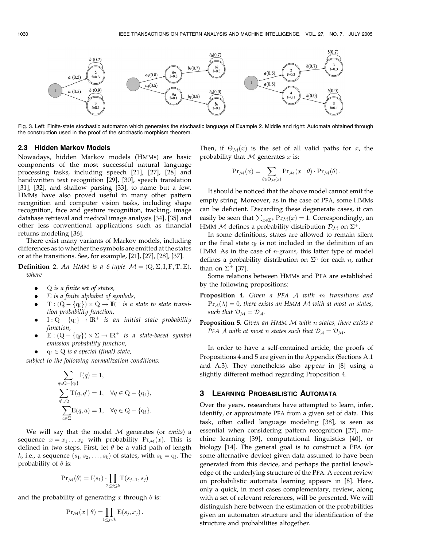

Fig. 3. Left: Finite-state stochastic automaton which generates the stochastic language of Example 2. Middle and right: Automata obtained through the construction used in the proof of the stochastic morphism theorem.

## 2.3 Hidden Markov Models

Nowadays, hidden Markov models (HMMs) are basic components of the most successful natural language processing tasks, including speech [21], [27], [28] and handwritten text recognition [29], [30], speech translation [31], [32], and shallow parsing [33], to name but a few. HMMs have also proved useful in many other pattern recognition and computer vision tasks, including shape recognition, face and gesture recognition, tracking, image database retrieval and medical image analysis [34], [35] and other less conventional applications such as financial returns modeling [36].

There exist many variants of Markov models, including differences as to whether the symbols are emitted at the states or at the transitions. See, for example, [21], [27], [28], [37].

**Definition 2.** An HMM is a 6-tuple  $\mathcal{M} = \langle \mathbf{Q}, \Sigma, \mathbf{I}, \mathbf{F}, \mathbf{T}, \mathbf{E} \rangle$ , where

- . Q is a finite set of states,
- $\Sigma$  is a finite alphabet of symbols,
- $T: (Q {q_f}) \times Q \rightarrow \mathbb{R}^+$  is a state to state transition probability function,
- $I: Q {q_f} \rightarrow \mathbb{R}^+$  is an initial state probability function,
- $\overline{E}:(Q {q_f}) \times \Sigma \rightarrow \mathbb{R}^+$  is a state-based symbol emission probability function,
- $q_f \in Q$  is a special (final) state,

subject to the following normalization conditions:

$$
\sum_{q \in Q - \{q_f\}} I(q) = 1,
$$
\n
$$
\sum_{q' \in Q} T(q, q') = 1, \quad \forall q \in Q - \{q_f\},
$$
\n
$$
\sum_{a \in \Sigma} E(q, a) = 1, \quad \forall q \in Q - \{q_f\}.
$$

We will say that the model  $M$  generates (or emits) a sequence  $x = x_1 \dots x_k$  with probability  $Pr_{\mathcal{M}}(x)$ . This is defined in two steps. First, let  $\theta$  be a valid path of length k, i.e., a sequence  $(s_1, s_2, \ldots, s_k)$  of states, with  $s_k = q_f$ . The probability of  $\theta$  is:

$$
\Pr_{\mathcal{M}}(\theta) = \mathrm{I}(s_1) \cdot \prod_{2 \leq j \leq k} \mathrm{T}(s_{j-1}, s_j)
$$

and the probability of generating x through  $\theta$  is:

$$
\Pr_{\mathcal{M}}(x \mid \theta) = \prod_{1 \leq j < k} \mathcal{E}(s_j, x_j).
$$

Then, if  $\Theta_{\mathcal{M}}(x)$  is the set of all valid paths for x, the probability that  $M$  generates  $x$  is:

$$
\Pr_{\mathcal{M}}(x) = \sum_{\theta \in \Theta_{\mathcal{M}}(x)} \Pr_{\mathcal{M}}(x \mid \theta) \cdot \Pr_{\mathcal{M}}(\theta).
$$

It should be noticed that the above model cannot emit the empty string. Moreover, as in the case of PFA, some HMMs can be deficient. Discarding these degenerate cases, it can easily be seen that  $\sum_{x \in \Sigma^+} Pr_M(x) = 1$ . Correspondingly, an HMM  $M$  defines a probability distribution  $\mathcal{D}_M$  on  $\Sigma^+$ .

In some definitions, states are allowed to remain silent or the final state  $q_f$  is not included in the definition of an HMM. As in the case of  $n$ -grams, this latter type of model defines a probability distribution on  $\Sigma<sup>n</sup>$  for each n, rather than on  $\Sigma^+$  [37].

Some relations between HMMs and PFA are established by the following propositions:

- Proposition 4. Given a PFA A with m transitions and  $Pr_A(\lambda) = 0$ , there exists an HMM M with at most m states, such that  $\mathcal{D}_{\mathcal{M}} = \mathcal{D}_{\mathcal{A}}$ .
- **Proposition 5.** Given an HMM  $M$  with n states, there exists a PFA A with at most n states such that  $D_A = D_M$ .

In order to have a self-contained article, the proofs of Propositions 4 and 5 are given in the Appendix (Sections A.1 and A.3). They nonetheless also appear in [8] using a slightly different method regarding Proposition 4.

## 3 LEARNING PROBABILISTIC AUTOMATA

Over the years, researchers have attempted to learn, infer, identify, or approximate PFA from a given set of data. This task, often called language modeling [38], is seen as essential when considering pattern recognition [27], machine learning [39], computational linguistics [40], or biology [14]. The general goal is to construct a PFA (or some alternative device) given data assumed to have been generated from this device, and perhaps the partial knowledge of the underlying structure of the PFA. A recent review on probabilistic automata learning appears in [8]. Here, only a quick, in most cases complementary, review, along with a set of relevant references, will be presented. We will distinguish here between the estimation of the probabilities given an automaton structure and the identification of the structure and probabilities altogether.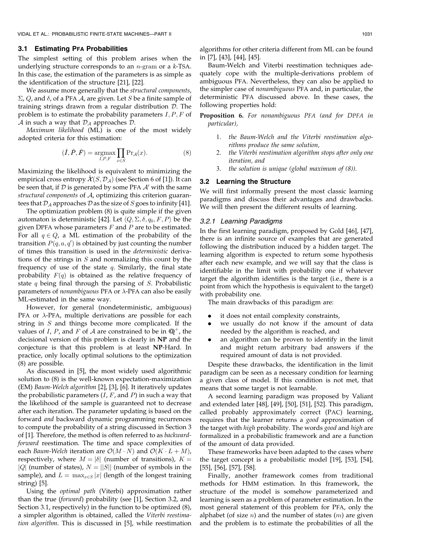## 3.1 Estimating PFA Probabilities

The simplest setting of this problem arises when the underlying structure corresponds to an  $n$ -gram or a  $k$ -TSA. In this case, the estimation of the parameters is as simple as the identification of the structure [21], [22].

We assume more generally that the structural components,  $\Sigma$ ,  $Q$ , and  $\delta$ , of a PFA  ${\cal A}$ , are given. Let S be a finite sample of training strings drawn from a regular distribution D. The problem is to estimate the probability parameters  $I, P, F$  of A in such a way that  $\mathcal{D}_A$  approaches  $\mathcal{D}$ .

Maximum likelihood (ML) is one of the most widely adopted criteria for this estimation:

$$
(\hat{I}, \hat{P}, \hat{F}) = \underset{I, P, F}{\text{argmax}} \prod_{x \in S} \Pr_{\mathcal{A}}(x). \tag{8}
$$

Maximizing the likelihood is equivalent to minimizing the empirical cross entropy  $\mathcal{X}(S, \mathcal{D}_\mathcal{A})$  (see Section 6 of [1]). It can be seen that, if  $D$  is generated by some PFA  $A'$  with the same structural components of A, optimizing this criterion guarantees that  $\mathcal{D}_A$  approaches  $\mathcal D$  as the size of S goes to infinity [41].

The optimization problem (8) is quite simple if the given automaton is deterministic [42]. Let  $\langle Q, \Sigma, \delta, q_0, F, P \rangle$  be the given DPFA whose parameters  $F$  and  $P$  are to be estimated. For all  $q \in Q$ , a ML estimation of the probability of the transition  $P(q, a, q')$  is obtained by just counting the number of times this transition is used in the deterministic derivations of the strings in  $S$  and normalizing this count by the frequency of use of the state  $q$ . Similarly, the final state probability  $F(q)$  is obtained as the relative frequency of state  $q$  being final through the parsing of  $S$ . Probabilistic parameters of nonambiguous PFA or  $\lambda$ -PFA can also be easily ML-estimated in the same way.

However, for general (nondeterministic, ambiguous) PFA or  $\lambda$ -PFA, multiple derivations are possible for each string in S and things become more complicated. If the values of I, P, and F of A are constrained to be in  $\mathbb{Q}^+$ , the decisional version of this problem is clearly in NP and the conjecture is that this problem is at least NP-Hard. In practice, only locally optimal solutions to the optimization (8) are possible.

As discussed in [5], the most widely used algorithmic solution to (8) is the well-known expectation-maximization (EM) Baum-Welch algorithm [2], [3], [6]. It iteratively updates the probabilistic parameters  $(I, F, \text{and } P)$  in such a way that the likelihood of the sample is guaranteed not to decrease after each iteration. The parameter updating is based on the forward and backward dynamic programming recurrences to compute the probability of a string discussed in Section 3 of [1]. Therefore, the method is often referred to as backwardforward reestimation. The time and space complexities of each Baum-Welch iteration are  $\mathcal{O}(M \cdot N)$  and  $\mathcal{O}(K \cdot L + M)$ , respectively, where  $M = |\delta|$  (number of transitions),  $K =$ |Q| (number of states),  $N = ||S||$  (number of symbols in the sample), and  $L = \max_{x \in S} |x|$  (length of the longest training string) [5].

Using the optimal path (Viterbi) approximation rather than the true (forward) probability (see [1], Section 3.2, and Section 3.1, respectively) in the function to be optimized (8), a simpler algorithm is obtained, called the Viterbi reestimation algorithm. This is discussed in [5], while reestimation

algorithms for other criteria different from ML can be found in [7], [43], [44], [45].

Baum-Welch and Viterbi reestimation techniques adequately cope with the multiple-derivations problem of ambiguous PFA. Nevertheless, they can also be applied to the simpler case of nonambiguous PFA and, in particular, the deterministic PFA discussed above. In these cases, the following properties hold:

Proposition 6. For nonambiguous PFA (and for DPFA in particular),

- 1. the Baum-Welch and the Viterbi reestimation algorithms produce the same solution,
- 2. the Viterbi reestimation algorithm stops after only one iteration, and
- 3. the solution is unique (global maximum of (8)).

## 3.2 Learning the Structure

We will first informally present the most classic learning paradigms and discuss their advantages and drawbacks. We will then present the different results of learning.

#### 3.2.1 Learning Paradigms

In the first learning paradigm, proposed by Gold [46], [47], there is an infinite source of examples that are generated following the distribution induced by a hidden target. The learning algorithm is expected to return some hypothesis after each new example, and we will say that the class is identifiable in the limit with probability one if whatever target the algorithm identifies is the target (i.e., there is a point from which the hypothesis is equivalent to the target) with probability one.

The main drawbacks of this paradigm are:

- . it does not entail complexity constraints,
- . we usually do not know if the amount of data needed by the algorithm is reached, and
- . an algorithm can be proven to identify in the limit and might return arbitrary bad answers if the required amount of data is not provided.

Despite these drawbacks, the identification in the limit paradigm can be seen as a necessary condition for learning a given class of model. If this condition is not met, that means that some target is not learnable.

A second learning paradigm was proposed by Valiant and extended later [48], [49], [50], [51], [52]. This paradigm, called probably approximately correct (PAC) learning, requires that the learner returns a good approximation of the target with high probability. The words good and high are formalized in a probabilistic framework and are a function of the amount of data provided.

These frameworks have been adapted to the cases where the target concept is a probabilistic model [19], [53], [54], [55], [56], [57], [58].

Finally, another framework comes from traditional methods for HMM estimation. In this framework, the structure of the model is somehow parameterized and learning is seen as a problem of parameter estimation. In the most general statement of this problem for PFA, only the alphabet (of size  $n$ ) and the number of states  $(m)$  are given and the problem is to estimate the probabilities of all the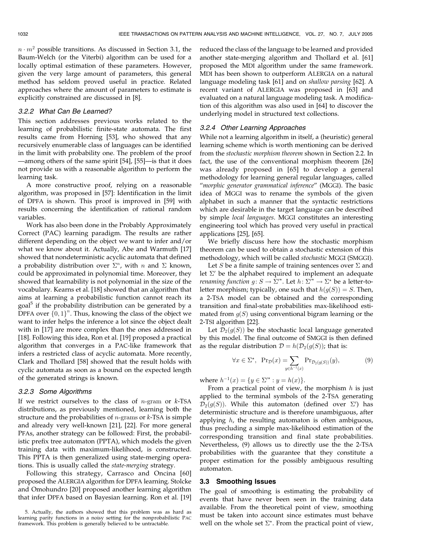$n \cdot m^2$  possible transitions. As discussed in Section 3.1, the Baum-Welch (or the Viterbi) algorithm can be used for a locally optimal estimation of these parameters. However, given the very large amount of parameters, this general method has seldom proved useful in practice. Related approaches where the amount of parameters to estimate is explicitly constrained are discussed in [8].

#### 3.2.2 What Can Be Learned?

This section addresses previous works related to the learning of probabilistic finite-state automata. The first results came from Horning [53], who showed that any recursively enumerable class of languages can be identified in the limit with probability one. The problem of the proof —among others of the same spirit [54], [55]—is that it does not provide us with a reasonable algorithm to perform the learning task.

A more constructive proof, relying on a reasonable algorithm, was proposed in [57]: Identification in the limit of DPFA is shown. This proof is improved in [59] with results concerning the identification of rational random variables.

Work has also been done in the Probably Approximately Correct (PAC) learning paradigm. The results are rather different depending on the object we want to infer and/or what we know about it. Actually, Abe and Warmuth [17] showed that nondeterministic acyclic automata that defined a probability distribution over  $\Sigma<sup>n</sup>$ , with n and  $\Sigma$  known, could be approximated in polynomial time. Moreover, they showed that learnability is not polynomial in the size of the vocabulary. Kearns et al. [18] showed that an algorithm that aims at learning a probabilistic function cannot reach its goal<sup>5</sup> if the probability distribution can be generated by a DPFA over  $\{0,1\}^n$ . Thus, knowing the class of the object we want to infer helps the inference a lot since the object dealt with in [17] are more complex than the ones addressed in [18]. Following this idea, Ron et al. [19] proposed a practical algorithm that converges in a PAC-like framework that infers a restricted class of acyclic automata. More recently, Clark and Thollard [58] showed that the result holds with cyclic automata as soon as a bound on the expected length of the generated strings is known.

#### 3.2.3 Some Algorithms

If we restrict ourselves to the class of  $n$ -gram or  $k$ -TSA distributions, as previously mentioned, learning both the structure and the probabilities of  $n$ -grams or  $k$ -TSA is simple and already very well-known [21], [22]. For more general PFAs, another strategy can be followed: First, the probabilistic prefix tree automaton (PPTA), which models the given training data with maximum-likelihood, is constructed. This PPTA is then generalized using state-merging operations. This is usually called the state-merging strategy.

Following this strategy, Carrasco and Oncina [60] proposed the ALERGIA algorithm for DPFA learning. Stolcke and Omohundro [20] proposed another learning algorithm that infer DPFA based on Bayesian learning. Ron et al. [19] reduced the class of the language to be learned and provided another state-merging algorithm and Thollard et al. [61] proposed the MDI algorithm under the same framework. MDI has been shown to outperform ALERGIA on a natural language modeling task [61] and on shallow parsing [62]. A recent variant of ALERGIA was proposed in [63] and evaluated on a natural language modeling task. A modification of this algorithm was also used in [64] to discover the underlying model in structured text collections.

# 3.2.4 Other Learning Approaches

While not a learning algorithm in itself, a (heuristic) general learning scheme which is worth mentioning can be derived from the stochastic morphism theorem shown in Section 2.2. In fact, the use of the conventional morphism theorem [26] was already proposed in [65] to develop a general methodology for learning general regular languages, called "morphic generator grammatical inference" (MGGI). The basic idea of MGGI was to rename the symbols of the given alphabet in such a manner that the syntactic restrictions which are desirable in the target language can be described by simple local languages. MGGI constitutes an interesting engineering tool which has proved very useful in practical applications [25], [65].

We briefly discuss here how the stochastic morphism theorem can be used to obtain a stochastic extension of this methodology, which will be called stochastic MGGI (SMGGI).

Let *S* be a finite sample of training sentences over  $\Sigma$  and let  $\Sigma'$  be the alphabet required to implement an adequate *renaming function g:*  $S \to \Sigma'^\star$ . Let  $h: \Sigma'^\star \to \Sigma^\star$  be a letter-toletter morphism; typically, one such that  $h(g(S)) = S$ . Then, a 2-TSA model can be obtained and the corresponding transition and final-state probabilities max-likelihood estimated from  $g(S)$  using conventional bigram learning or the 2-TSI algorithm [22].

Let  $\mathcal{D}_2(g(S))$  be the stochastic local language generated by this model. The final outcome of SMGGI is then defined as the regular distribution  $\mathcal{D} = h(\mathcal{D}_2(g(S)))$ ; that is:

$$
\forall x \in \Sigma^*, \ \Pr_{\mathcal{D}}(x) = \sum_{y \in h^{-1}(x)} \Pr_{\mathcal{D}_2(g(S))}(y), \tag{9}
$$

where  $h^{-1}(x) = \{y \in \Sigma'^* : y = h(x)\}.$ 

From a practical point of view, the morphism  $h$  is just applied to the terminal symbols of the 2-TSA generating  $\mathcal{D}_2(g(S))$ . While this automaton (defined over  $\Sigma'$ ) has deterministic structure and is therefore unambiguous, after applying  $h$ , the resulting automaton is often ambiguous, thus precluding a simple max-likelihood estimation of the corresponding transition and final state probabilities. Nevertheless, (9) allows us to directly use the the 2-TSA probabilities with the guarantee that they constitute a proper estimation for the possibly ambiguous resulting automaton.

#### 3.3 Smoothing Issues

The goal of smoothing is estimating the probability of events that have never been seen in the training data available. From the theoretical point of view, smoothing must be taken into account since estimates must behave well on the whole set  $\Sigma^*$ . From the practical point of view,

<sup>5.</sup> Actually, the authors showed that this problem was as hard as learning parity functions in a noisy setting for the nonprobabilistic PAC framework. This problem is generally believed to be untractable.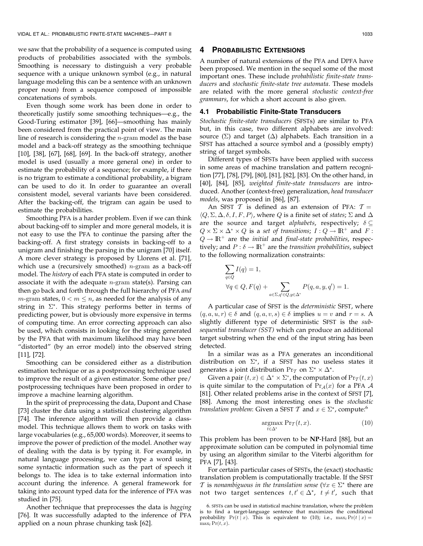we saw that the probability of a sequence is computed using products of probabilities associated with the symbols. Smoothing is necessary to distinguish a very probable sequence with a unique unknown symbol (e.g., in natural language modeling this can be a sentence with an unknown proper noun) from a sequence composed of impossible concatenations of symbols.

Even though some work has been done in order to theoretically justify some smoothing techniques—e.g., the Good-Turing estimator [39], [66]—smoothing has mainly been considered from the practical point of view. The main line of research is considering the  $n$ -gram model as the base model and a back-off strategy as the smoothing technique [10], [38], [67], [68], [69]. In the back-off strategy, another model is used (usually a more general one) in order to estimate the probability of a sequence; for example, if there is no trigram to estimate a conditional probability, a bigram can be used to do it. In order to guarantee an overall consistent model, several variants have been considered. After the backing-off, the trigram can again be used to estimate the probabilities.

Smoothing PFA is a harder problem. Even if we can think about backing-off to simpler and more general models, it is not easy to use the PFA to continue the parsing after the backing-off. A first strategy consists in backing-off to a unigram and finishing the parsing in the unigram [70] itself. A more clever strategy is proposed by Llorens et al. [71], which use a (recursively smoothed)  $n$ -gram as a back-off model. The history of each PFA state is computed in order to associate it with the adequate  $n$ -gram state(s). Parsing can then go back and forth through the full hierarchy of PFA and *m*-gram states,  $0 < m \le n$ , as needed for the analysis of any string in  $\Sigma^*$ . This strategy performs better in terms of predicting power, but is obviously more expensive in terms of computing time. An error correcting approach can also be used, which consists in looking for the string generated by the PFA that with maximum likelihood may have been "distorted" (by an error model) into the observed string [11], [72].

Smoothing can be considered either as a distribution estimation technique or as a postprocessing technique used to improve the result of a given estimator. Some other pre/ postprocessing techniques have been proposed in order to improve a machine learning algorithm.

In the spirit of preprocessing the data, Dupont and Chase [73] cluster the data using a statistical clustering algorithm [74]. The inference algorithm will then provide a classmodel. This technique allows them to work on tasks with large vocabularies (e.g., 65,000 words). Moreover, it seems to improve the power of prediction of the model. Another way of dealing with the data is by typing it. For example, in natural language processing, we can type a word using some syntactic information such as the part of speech it belongs to. The idea is to take external information into account during the inference. A general framework for taking into account typed data for the inference of PFA was studied in [75].

Another technique that preprocesses the data is bagging [76]. It was successfully adapted to the inference of PFA applied on a noun phrase chunking task [62].

## 4 PROBABILISTIC EXTENSIONS

A number of natural extensions of the PFA and DPFA have been proposed. We mention in the sequel some of the most important ones. These include probabilistic finite-state transducers and stochastic finite-state tree automata. These models are related with the more general stochastic context-free grammars, for which a short account is also given.

#### 4.1 Probabilistic Finite-State Transducers

Stochastic finite-state transducers (SFSTs) are similar to PFA but, in this case, two different alphabets are involved: source  $(\Sigma)$  and target  $(\Delta)$  alphabets. Each transition in a SFST has attached a source symbol and a (possibly empty) string of target symbols.

Different types of SFSTs have been applied with success in some areas of machine translation and pattern recognition [77], [78], [79], [80], [81], [82], [83]. On the other hand, in [40], [84], [85], weighted finite-state transducers are introduced. Another (context-free) generalization, head transducer models, was proposed in [86], [87].

An SFST  $\mathcal T$  is defined as an extension of PFA:  $\mathcal T =$  $\langle Q, \Sigma, \Delta, \delta, I, F, P \rangle$ , where  $Q$  is a finite set of states;  $\Sigma$  and  $\Delta$ are the source and target *alphabets,* respectively;  $\delta \subseteq$  $Q \times \Sigma \times \Delta^* \times Q$  is a set of transitions;  $I: Q \to \mathbb{R}^+$  and F:  $Q \rightarrow \mathbb{R}^+$  are the *initial* and *final-state probabilities*, respectively; and  $P: \delta \to \mathbb{R}^+$  are the transition probabilities, subject to the following normalization constraints:

$$
\sum_{q \in Q} I(q) = 1,
$$
  
\n
$$
\forall q \in Q, F(q) + \sum_{a \in \Sigma, q' \in Q, y \in \Delta^*} P(q, a, y, q') = 1.
$$

A particular case of SFST is the deterministic SFST, where  $(q, a, u, r) \in \delta$  and  $(q, a, v, s) \in \delta$  implies  $u = v$  and  $r = s$ . A slightly different type of deterministic SFST is the subsequential transducer (SST) which can produce an additional target substring when the end of the input string has been detected.

In a similar was as a PFA generates an inconditional distribution on  $\Sigma^*$ , if a SFST has no useless states it generates a joint distribution Pr<sub>T</sub> on  $\Sigma^* \times \Delta^*$ .

Given a pair  $(t, x) \in \Delta^* \times \Sigma^*$ , the computation of  $Pr_T(t, x)$ is quite similar to the computation of  $Pr_A(x)$  for a PFA A [81]. Other related problems arise in the context of SFST [7], [88]. Among the most interesting ones is the stochastic *translation problem:* Given a SFST T and  $x \in \Sigma^*$ , compute:<sup>6</sup>

$$
\underset{t \in \Delta^*}{\operatorname{argmax}} \ \Pr_{\mathcal{T}}(t, x). \tag{10}
$$

This problem has been proven to be NP-Hard [88], but an approximate solution can be computed in polynomial time by using an algorithm similar to the Viterbi algorithm for PFA [7], [43].

For certain particular cases of SFSTs, the (exact) stochastic translation problem is computationally tractable. If the SFST T is nonambiguous in the translation sense ( $\forall x \in \Sigma^*$  there are not two target sentences  $t, t' \in \Delta^{\star}$ ,  $t \neq t'$ , such that

<sup>6.</sup> SFSTs can be used in statistical machine translation, where the problem is to find a target-language sentence that maximizes the conditional probability  $Pr(t | x)$ . This is equivalent to (10); i.e.,  $max_t Pr(t | x) =$  $\max_t \Pr(t, x)$ .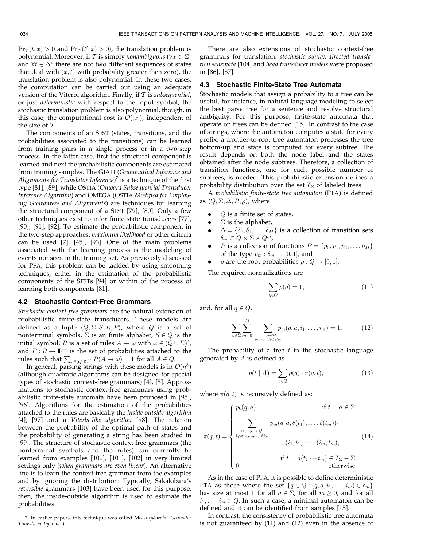$Pr_T(t, x) > 0$  and  $Pr_T(t', x) > 0$ ), the translation problem is polynomial. Moreover, if T is simply nonambiguous ( $\forall x \in \Sigma^*$ and  $\forall t \in \Delta^*$  there are not two different sequences of states that deal with  $(x, t)$  with probability greater then zero), the translation problem is also polynomial. In these two cases, the computation can be carried out using an adequate version of the Viterbi algorithm. Finally, if  $T$  is subsequential, or just deterministic with respect to the input symbol, the stochastic translation problem is also polynomial, though, in this case, the computational cost is  $\mathcal{O}(|x|)$ , independent of the size of  $T$ .

The components of an SFST (states, transitions, and the probabilities associated to the transitions) can be learned from training pairs in a single process or in a two-step process. In the latter case, first the structural component is learned and next the probabilistic components are estimated from training samples. The GIATI (Grammatical Inference and Alignments for Translator Inference) $^7$  is a technique of the first type [81], [89], while OSTIA (Onward Subsequential Transducer Inference Algorithm) and OMEGA (OSTIA Modified for Employing Guarantees and Alignments) are techniques for learning the structural component of a SFST [79], [80]. Only a few other techniques exist to infer finite-state transducers [77], [90], [91], [92]. To estimate the probabilistic component in the two-step approaches, maximum likelihood or other criteria can be used [7], [45], [93]. One of the main problems associated with the learning process is the modeling of events not seen in the training set. As previously discussed for PFA, this problem can be tackled by using smoothing techniques; either in the estimation of the probabilistic components of the SFSTs [94] or within of the process of learning both components [81].

#### 4.2 Stochastic Context-Free Grammars

Stochastic context-free grammars are the natural extension of probabilistic finite-state transducers. These models are defined as a tuple  $\langle Q, \Sigma, S, R, P \rangle$ , where Q is a set of nonterminal symbols,  $\Sigma$  is an finite alphabet,  $S \in Q$  is the initial symbol, R is a set of rules  $A \to \omega$  with  $\omega \in (Q \cup \Sigma)^*$ , and  $P: R \to \mathbb{R}^+$  is the set of probabilities attached to the rules such that  $\sum_{\omega \in (Q \cup \Sigma)^*} P(A \to \omega) = 1$  for all  $A \in Q$ .

In general, parsing strings with these models is in  $\mathcal{O}(n^3)$ (although quadratic algorithms can be designed for special types of stochastic context-free grammars) [4], [5]. Approximations to stochastic context-free grammars using probabilistic finite-state automata have been proposed in [95], [96]. Algorithms for the estimation of the probabilities attached to the rules are basically the inside-outside algorithm [4], [97] and a Viterbi-like algorithm [98]. The relation between the probability of the optimal path of states and the probability of generating a string has been studied in [99]. The structure of stochastic context-free grammars (the nonterminal symbols and the rules) can currently be learned from examples [100], [101], [102] in very limited settings only (when grammars are even linear). An alternative line is to learn the context-free grammar from the examples and by ignoring the distribution: Typically, Sakakibara's reversible grammars [103] have been used for this purpose; then, the inside-outside algorithm is used to estimate the probabilities.

7. In earlier papers, this technique was called MGGI (Morphic Generator Transducer Inference).

There are also extensions of stochastic context-free grammars for translation: stochastic syntax-directed translation schemata [104] and head transducer models were proposed in [86], [87].

#### 4.3 Stochastic Finite-State Tree Automata

Stochastic models that assign a probability to a tree can be useful, for instance, in natural language modeling to select the best parse tree for a sentence and resolve structural ambiguity. For this purpose, finite-state automata that operate on trees can be defined [15]. In contrast to the case of strings, where the automaton computes a state for every prefix, a frontier-to-root tree automaton processes the tree bottom-up and state is computed for every subtree. The result depends on both the node label and the states obtained after the node subtrees. Therefore, a collection of transition functions, one for each possible number of subtrees, is needed. This probabilistic extension defines a probability distribution over the set  $T_{\Sigma}$  of labeled trees.

A probabilistic finite-state tree automaton (PTA) is defined as  $\langle Q, \Sigma, \Delta, P, \rho \rangle$ , where

- $Q$  is a finite set of states,
- $\bullet$   $\Sigma$  is the alphabet,
- $\bullet$   $\Delta = \{\delta_0, \delta_1, \ldots, \delta_M\}$  is a collection of transition sets  $\delta_m \subset Q \times \Sigma \times Q^m$ ,
- *P* is a collection of functions  $P = \{p_0, p_1, p_2, \ldots, p_M\}$ of the type  $p_m : \delta_m \to [0,1]$ , and
- $\rho$  are the root probabilities  $\rho: Q \to [0, 1].$

The required normalizations are

$$
\sum_{q \in Q} \rho(q) = 1,\tag{11}
$$

and, for all  $q \in Q$ ,

$$
\sum_{a\in\Sigma}\sum_{m=0}^M\sum_{i_1,\dots,i_m\in Q:\atop{(q,a,i_1,\dots,m)\in\delta_m}}p_m(q,a,i_1,\dots,i_m)=1. \hspace{1cm} (12)
$$

The probability of a tree  $t$  in the stochastic language generated by A is defined as

$$
p(t | A) = \sum_{q \in Q} \rho(q) \cdot \pi(q, t), \qquad (13)
$$

where  $\pi(q, t)$  is recursively defined as:

$$
\pi(q,t) = \begin{cases}\np_0(q,a) & \text{if } t = a \in \Sigma, \\
\sum_{\substack{i_1,\dots,i_m \in Q:\\(q,a,i_1,\dots,i_m) \in \delta_m}} p_m(q,a,\delta(t_1),\dots,\delta(t_m)) \cdot \\
\vdots & \pi(i_1,t_1)\cdots\pi(i_m,t_m), \\
\text{if } t = a(t_1\cdots t_m) \in T_\Sigma - \Sigma, \\
0 & \text{otherwise.} \n\end{cases}
$$
\n
$$
(14)
$$

As in the case of PFA, it is possible to define deterministic PTA as those where the set  $\{q \in Q : (q, a, i_1, \ldots, i_m) \in \delta_m\}$ has size at most 1 for all  $a \in \Sigma$ , for all  $m \ge 0$ , and for all  $i_1, \ldots, i_m \in Q$ . In such a case, a minimal automaton can be defined and it can be identified from samples [15].

In contrast, the consistency of probabilistic tree automata is not guaranteed by (11) and (12) even in the absence of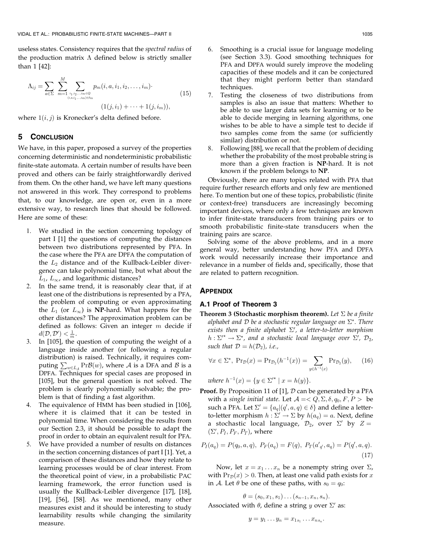useless states. Consistency requires that the spectral radius of the production matrix  $\Lambda$  defined below is strictly smaller than 1 [42]:

$$
\Lambda_{ij} = \sum_{a \in \Sigma} \sum_{m=1}^{M} \sum_{\substack{i_1, i_2, \dots, i_m \in Q: \ i_i, a, i_1, \dots, i_m \in Q:}} p_m(i, a, i_1, i_2, \dots, i_m)
$$
\n
$$
(15)
$$
\n
$$
(1(j, i_1) + \dots + 1(j, i_m)),
$$

where  $1(i, j)$  is Kronecker's delta defined before.

# 5 CONCLUSION

We have, in this paper, proposed a survey of the properties concerning deterministic and nondeterministic probabilistic finite-state automata. A certain number of results have been proved and others can be fairly straightforwardly derived from them. On the other hand, we have left many questions not answered in this work. They correspond to problems that, to our knowledge, are open or, even in a more extensive way, to research lines that should be followed. Here are some of these:

- 1. We studied in the section concerning topology of part I [1] the questions of computing the distances between two distributions represented by PFA. In the case where the PFA are DPFA the computation of the  $L_2$  distance and of the Kullback-Leibler divergence can take polynomial time, but what about the  $L_1$ ,  $L_{\infty}$ , and logarithmic distances?
- 2. In the same trend, it is reasonably clear that, if at least one of the distributions is represented by a PFA, the problem of computing or even approximating the  $L_1$  (or  $L_{\infty}$ ) is NP-hard. What happens for the other distances? The approximation problem can be defined as follows: Given an integer  $m$  decide if  $d(D, D') < \frac{1}{m}.$
- 3. In [105], the question of computing the weight of a language inside another (or following a regular distribution) is raised. Technically, it requires computing  $\sum_{w \in L_A} PrB(w)$ , where A is a DFA and B is a DPFA. Techniques for special cases are proposed in [105], but the general question is not solved. The problem is clearly polynomially solvable; the problem is that of finding a fast algorithm.
- 4. The equivalence of HMM has been studied in [106], where it is claimed that it can be tested in polynomial time. When considering the results from our Section 2.3, it should be possible to adapt the proof in order to obtain an equivalent result for PFA.
- 5. We have provided a number of results on distances in the section concerning distances of part I [1]. Yet, a comparison of these distances and how they relate to learning processes would be of clear interest. From the theoretical point of view, in a probabilistic PAC learning framework, the error function used is usually the Kullback-Leibler divergence [17], [18], [19], [56], [58]. As we mentioned, many other measures exist and it should be interesting to study learnability results while changing the similarity measure.
- 6. Smoothing is a crucial issue for language modeling (see Section 3.3). Good smoothing techniques for PFA and DPFA would surely improve the modeling capacities of these models and it can be conjectured that they might perform better than standard techniques.
- 7. Testing the closeness of two distributions from samples is also an issue that matters: Whether to be able to use larger data sets for learning or to be able to decide merging in learning algorithms, one wishes to be able to have a simple test to decide if two samples come from the same (or sufficiently similar) distribution or not.
- 8. Following [88], we recall that the problem of deciding whether the probability of the most probable string is more than a given fraction is NP-hard. It is not known if the problem belongs to NP.

Obviously, there are many topics related with PFA that require further research efforts and only few are mentioned here. To mention but one of these topics, probabilistic (finite or context-free) transducers are increasingly becoming important devices, where only a few techniques are known to infer finite-state transducers from training pairs or to smooth probabilistic finite-state transducers when the training pairs are scarce.

Solving some of the above problems, and in a more general way, better understanding how PFA and DPFA work would necessarily increase their importance and relevance in a number of fields and, specifically, those that are related to pattern recognition.

# **APPENDIX**

#### A.1 Proof of Theorem 3

Theorem 3 (Stochastic morphism theorem). Let  $\Sigma$  be a finite alphabet and  $D$  be a stochastic regular language on  $\Sigma^*$ . There exists then a finite alphabet  $\Sigma'$ , a letter-to-letter morphism  $h: \Sigma'^{\star} \to \Sigma^{\star}$ , and a stochastic local language over  $\Sigma'$ ,  $\mathcal{D}_2$ , such that  $\mathcal{D} = h(\mathcal{D}_2)$ , i.e.,

$$
\forall x \in \Sigma^{\star}, \; \text{Pr}_{\mathcal{D}}(x) = \text{Pr}_{\mathcal{D}_2}(h^{-1}(x)) = \sum_{y \in h^{-1}(x)} \text{Pr}_{\mathcal{D}_2}(y), \qquad (16)
$$

where  $h^{-1}(x) = \{y \in \Sigma'^\star \mid x = h(y)\}.$ 

**Proof.** By Proposition 11 of [1],  $D$  can be generated by a PFA with a *single initial state*. Let  $\mathcal{A} = < Q, \Sigma, \delta, q_0, F, P > ~$  be such a PFA. Let  $\Sigma' = \{a_q | (q', a, q) \in \delta\}$  and define a letterto-letter morphism  $h : \Sigma' \to \Sigma$  by  $h(a_q) = a$ . Next, define a stochastic local language,  $\mathcal{D}_2$ , over  $\Sigma'$  by  $Z =$  $(\Sigma', P_I, P_F, P_T)$ , where

$$
P_I(a_q) = P(q_0, a, q), \ P_F(a_q) = F(q), \ P_T(a'_{q'}, a_q) = P(q', a, q).
$$
\n(17)

Now, let  $x = x_1 \dots x_n$  be a nonempty string over  $\Sigma$ , with  $Pr_{\mathcal{D}}(x) > 0$ . Then, at least one valid path exists for x in A. Let  $\theta$  be one of these paths, with  $s_0 = q_0$ :

$$
\theta=(s_0,x_1,s_1)\dots(s_{n-1},x_n,s_n).
$$

Associated with  $\theta$ , define a string y over  $\Sigma'$  as:

$$
y=y_1\ldots y_n=x_{1s_1}\ldots x_{ns_n}.
$$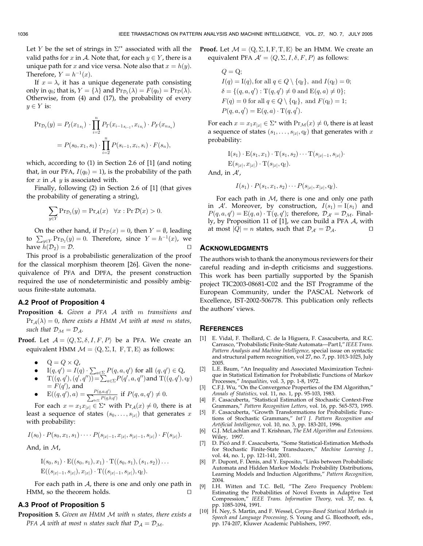Let Y be the set of strings in  $\Sigma^{\prime\star}$  associated with all the valid paths for x in A. Note that, for each  $y \in Y$ , there is a unique path for x and vice versa. Note also that  $x = h(y)$ . Therefore,  $Y = h^{-1}(x)$ .

If  $x = \lambda$ , it has a unique degenerate path consisting only in  $q_0$ ; that is,  $Y = {\lambda}$  and  $Pr_{\mathcal{D}_2}(\lambda) = F(q_0) = Pr_{\mathcal{D}}(\lambda)$ . Otherwise, from (4) and (17), the probability of every  $y \in Y$  is:

$$
Pr_{\mathcal{D}_2}(y) = P_I(x_{1s_1}) \cdot \prod_{i=2}^n P_T(x_{i-1s_{i-1}}, x_{is_i}) \cdot P_F(x_{ns_n})
$$
  
=  $P(s_0, x_1, s_1) \cdot \prod_{i=2}^n P(s_{i-1}, x_i, s_i) \cdot F(s_n),$ 

which, according to (1) in Section 2.6 of [1] (and noting that, in our PFA,  $I(q_0) = 1$ ), is the probability of the path for  $x$  in  $A$   $y$  is associated with.

Finally, following (2) in Section 2.6 of [1] (that gives the probability of generating a string),

$$
\sum_{y \in Y} \Pr_{\mathcal{D}_2}(y) = \Pr_{\mathcal{A}}(x) \quad \forall x : \Pr \mathcal{D}(x) > 0.
$$

On the other hand, if  $Pr_{\mathcal{D}}(x) = 0$ , then  $Y = \emptyset$ , leading to  $\sum_{y \in Y} \Pr_{p_2}(y) = 0$ . Therefore, since  $Y = h^{-1}(x)$ , we have  $h(\mathcal{D}_2)=\mathcal{D}$ .

This proof is a probabilistic generalization of the proof for the classical morphism theorem [26]. Given the nonequivalence of PFA and DPFA, the present construction required the use of nondeterministic and possibly ambiguous finite-state automata.

# A.2 Proof of Proposition 4

**Proposition 4.** Given a PFA A with m transitions and  $Pr_A(\lambda) = 0$ , there exists a HMM M with at most m states, such that  $\mathcal{D}_{\mathcal{M}} = \mathcal{D}_{\mathcal{A}}$ .

**Proof.** Let  $\mathcal{A} = \langle Q, \Sigma, \delta, I, F, P \rangle$  be a PFA. We create an equivalent HMM  $M = \langle Q, \Sigma, I, F, T, E \rangle$  as follows:

$$
\bullet \qquad Q = Q \times Q,
$$

• 
$$
I(q, q') = I(q) \cdot \sum_{a \in \Sigma} P(q, a, q')
$$
 for all  $(q, q') \in \mathbb{Q}$ ,

• 
$$
T((q, q'), (q', q')) = \sum_{a \in \Sigma} P(q', a, q')
$$
 for an  $(q, q') \in \mathcal{C}$ ,  
\n•  $T((q, q'), (q', q'')) = \sum_{a \in \Sigma} P(q', a, q'')$  and  $T((q, q'), q_f)$   
\n=  $F(q')$ , and

• 
$$
E((q, q'), a) = \frac{P(q, a, q')}{\sum_{b \in \Sigma} P(q, b, q')}
$$
 if  $P(q, a, q') \neq 0$ .

For each  $x = x_1x_{|x|} \in \Sigma^*$  with  $Pr_A(x) \neq 0$ , there is at least a sequence of states  $(s_0, \ldots, s_{|x|})$  that generates x with probability:

$$
I(s_0)\cdot P(s_0,x_1,s_1)\cdots P(s_{|x|-1},x_{|x|},s_{|x|-1},s_{|x|})\cdot F(s_{|x|}).
$$

And, in M,

$$
I(s_0, s_1) \cdot E((s_0, s_1), x_1) \cdot T((s_0, s_1), (s_1, s_2)) \dots
$$
  
 
$$
E((s_{|x|-1}, s_{|x|}), x_{|x|}) \cdot T((s_{|x|-1}, s_{|x|}), q_f).
$$

For each path in  $A$ , there is one and only one path in HMM, so the theorem holds.  $\Box$ 

# A.3 Proof of Proposition 5

Proposition 5. Given an HMM M with n states, there exists a PFA A with at most n states such that  $D_A = D_M$ .

**Proof.** Let  $M = \langle Q, \Sigma, I, F, T, E \rangle$  be an HMM. We create an equivalent PFA  $\mathcal{A}' = \langle Q, \Sigma, I, \delta, F, P \rangle$  as follows:

$$
Q = Q;
$$
  
\n
$$
I(q) = I(q), \text{ for all } q \in Q \setminus \{q_f\}, \text{ and } I(q_f) = 0;
$$
  
\n
$$
\delta = \{(q, a, q') : T(q, q') \neq 0 \text{ and } E(q, a) \neq 0\};
$$
  
\n
$$
F(q) = 0 \text{ for all } q \in Q \setminus \{q_f\}, \text{ and } F(q_f) = 1;
$$
  
\n
$$
P(q, a, q') = E(q, a) \cdot T(q, q').
$$

For each  $x = x_1x_{|x|} \in \Sigma^*$  with  $Pr_{\mathcal{M}}(x) \neq 0$ , there is at least a sequence of states  $(s_1, \ldots, s_{|x|}, q_f)$  that generates with x probability:

$$
I(s_1) \cdot E(s_1, x_1) \cdot T(s_1, s_2) \cdots T(s_{|x|-1}, s_{|x|}) \cdot E(s_{|x|}, x_{|x|}) \cdot T(s_{|x|}, q_f).
$$

And, in  $A'$ ,

$$
I(s_1) \cdot P(s_1, x_1, s_2) \cdots P(s_{|x|}, x_{|x|}, q_f).
$$

For each path in  $M$ , there is one and only one path in A'. Moreover, by construction,  $I(s_1) = I(s_1)$  and  $P(q, a, q') = E(q, a) \cdot T(q, q')$ ; therefore,  $\mathcal{D}_{\mathcal{A}'} = \mathcal{D}_{\mathcal{M}}$ . Finally, by Proposition 11 of [1], we can build a PFA A, with at most  $|Q| = n$  states, such that  $\mathcal{D}_{A'} = \mathcal{D}_{A}$ .

### **ACKNOWLEDGMENTS**

The authors wish to thank the anonymous reviewers for their careful reading and in-depth criticisms and suggestions. This work has been partially supported by the Spanish project TIC2003-08681-C02 and the IST Programme of the European Community, under the PASCAL Network of Excellence, IST-2002-506778. This publication only reflects the authors' views.

#### **REFERENCES**

- [1] E. Vidal, F. Thollard, C. de la Higuera, F. Casacuberta, and R.C. Carrasco, "Probabilistic Finite-State Automata—Part I," IEEE Trans. Pattern Analysis and Machine Intelligence, special issue on syntactic and structural pattern recognition, vol 27, no. 7, pp. 1013-1025, July 2005.
- [2] L.E. Baum, "An Inequality and Associated Maximization Technique in Statistical Estimation for Probabilistic Functions of Markov Processes," Inequalities, vol. 3, pp. 1-8, 1972.
- [3] C.F.J. Wu, "On the Convergence Properties of the EM Algorithm," Annals of Statistics, vol. 11, no. 1, pp. 95-103, 1983.
- [4] F. Casacuberta, "Statistical Estimation of Stochastic Context-Free Grammars," Pattern Recognition Letters, vol. 16, pp. 565-573, 1995.
- [5] F. Casacuberta, "Growth Transformations for Probabilistic Functions of Stochastic Grammars," Int'l J. Pattern Recognition and Artificial Intelligence, vol. 10, no. 3, pp. 183-201, 1996.
- [6] G.J. McLachlan and T. Krishnan, The EM Algorithm and Extensions. Wiley, 1997.
- [7] D. Picó and F. Casacuberta, "Some Statistical-Estimation Methods for Stochastic Finite-State Transducers," Machine Learning J., vol. 44, no. 1, pp. 121-141, 2001.
- [8] P. Dupont, F. Denis, and Y. Esposito, "Links between Probabilistic Automata and Hidden Markov Models: Probability Distributions, Learning Models and Induction Algorithms," Pattern Recognition, 2004.
- [9] I.H. Witten and T.C. Bell, "The Zero Frequency Problem: Estimating the Probabilities of Novel Events in Adaptive Test Compression," IEEE Trans. Information Theory, vol. 37, no. 4, pp. 1085-1094, 1991.
- [10] H. Ney, S. Martin, and F. Wessel, Corpus-Based Statiscal Methods in Speech and Language Processing, S. Young and G. Bloothooft, eds., pp. 174-207, Kluwer Academic Publishers, 1997.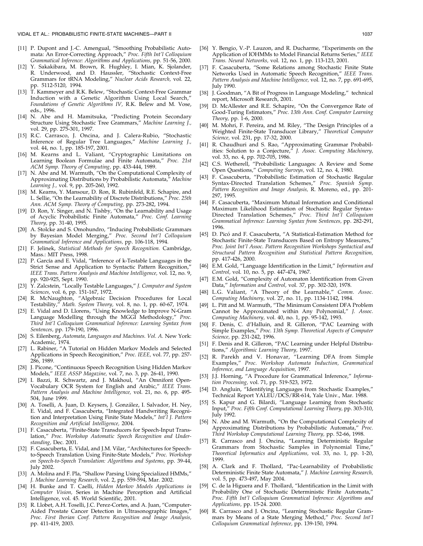- [11] P. Dupont and J.-C. Amengual, "Smoothing Probabilistic Automata: An Error-Correcting Approach," Proc. Fifth Int'l Colloquium Grammatical Inference: Algorithms and Applications, pp. 51-56, 2000.
- [12] Y. Sakakibara, M. Brown, R. Hughley, I. Mian, K. Sjolander, R. Underwood, and D. Haussler, "Stochastic Context-Free Grammars for tRNA Modeling," Nuclear Acids Research, vol. 22, pp. 5112-5120, 1994.
- [13] T. Kammeyer and R.K. Belew, "Stochastic Context-Free Grammar Induction with a Genetic Algorithm Using Local Search,' Foundations of Genetic Algorithms IV, R.K. Belew and M. Vose, eds., 1996.
- [14] N. Abe and H. Mamitsuka, "Predicting Protein Secondary Structure Using Stochastic Tree Grammars," Machine Learning J., vol. 29, pp. 275-301, 1997.
- [15] R.C. Carrasco, J. Oncina, and J. Calera-Rubio, "Stochastic Inference of Regular Tree Languages," Machine Learning J., vol. 44, no. 1, pp. 185-197, 2001.
- [16] M. Kearns and L. Valiant, "Cryptographic Limitations on Learning Boolean Formulae and Finite Automata," Proc. 21st ACM Symp. Theory of Computing, pp. 433-444, 1989.
- [17] N. Abe and M. Warmuth, "On the Computational Complexity of Approximating Distributions by Probabilistic Automata," Machine Learning J., vol. 9, pp. 205-260, 1992.
- [18] M. Kearns, Y. Mansour, D. Ron, R. Rubinfeld, R.E. Schapire, and L. Sellie, "On the Learnability of Discrete Distributions," Proc. 25th Ann. ACM Symp. Theory of Computing, pp. 273-282, 1994.
- [19] D. Ron, Y. Singer, and N. Tishby, "On the Learnability and Usage of Acyclic Probabilistic Finite Automata," Proc. Conf. Learning Theory, pp. 31-40, 1995.
- [20] A. Stolcke and S. Omohundro, "Inducing Probabilistic Grammars by Bayesian Model Merging," Proc. Second Int'l Colloquium Grammatical Inference and Applications, pp. 106-118, 1994.
- [21] F. Jelinek, Statistical Methods for Speech Recognition. Cambridge, Mass.: MIT Press, 1998.
- [22] P. García and E. Vidal, "Inference of k-Testable Languages in the Strict Sense and Application to Syntactic Pattern Recognition," IEEE Trans. Pattern Analysis and Machine Intelligence, vol. 12, no. 9, pp. 920-925, Sept. 1990.
- [23] Y. Zalcstein, "Locally Testable Languages," J. Computer and System Sciences, vol. 6, pp. 151-167, 1972.
- [24] R. McNaughton, "Algebraic Decision Procedures for Local Testability," Math. System Theory, vol. 8, no. 1, pp. 60-67, 1974.
- [25] E. Vidal and D. Llorens, "Using Knowledge to Improve N-Gram Language Modelling through the MGGI Methodology," Proc. Third Int'l Colloquium Grammatical Inference: Learning Syntax from Sentences, pp. 179-190, 1996.
- [26] S. Eilenberg, Automata, Languages and Machines. Vol. A. New York: Academic, 1974.
- [27] L. Rabiner, "A Tutorial on Hidden Markov Models and Selected Applications in Speech Recoginition," Proc. IEEE, vol. 77, pp. 257- 286, 1989.
- [28] J. Picone, "Continuous Speech Recognition Using Hidden Markov Models," IEEE ASSP Magazine, vol. 7, no. 3, pp. 26-41, 1990.
- [29] I. Bazzi, R. Schwartz, and J. Makhoul, "An Omnifont Open-Vocabulary OCR System for English and Arabic," IEEE Trans. Pattern Analysis and Machine Intelligence, vol. 21, no. 6, pp. 495- 504, June 1999.
- [30] A. Toselli, A. Juan, D. Keysers, J. González, I. Salvador, H. Ney, E. Vidal, and F. Casacuberta, "Integrated Handwriting Recognition and Interpretation Using Finite State Models," Int'l J. Pattern Recognition and Artificial Intelligence, 2004.
- [31] F. Casacuberta, "Finite-State Transducers for Speech-Input Translation," Proc. Workshop Automatic Speech Recognition and Understanding, Dec. 2001.
- [32] F. Casacuberta, E. Vidal, and J.M. Vilar, "Architectures for Speechto-Speech Translation Using Finite-State Models," Proc. Workshop on Speech-to-Speech Translation: Algorithms and Systems, pp. 39-44, July 2002.
- [33] A. Molina and F. Pla, "Shallow Parsing Using Specialized HMMs," J. Machine Learning Research, vol. 2, pp. 559-594, Mar. 2002.
- [34] H. Bunke and T. Caelli, Hidden Markov Models Applications in Computer Vision, Series in Machine Perception and Artificial Intelligence, vol. 45. World Scientific, 2001.
- [35] R. Llobet, A.H. Toselli, J.C. Perez-Cortes, and A. Juan, "Computer-Aided Prostate Cancer Detection in Ultrasonographic Images," Proc. First Iberian Conf. Pattern Recognition and Image Analysis, pp. 411-419, 2003.
- [36] Y. Bengio, V.-P. Lauzon, and R. Ducharme, "Experiments on the Application of IOHMMs to Model Financial Returns Series," IEEE Trans. Neural Networks, vol. 12, no. 1, pp. 113-123, 2001.
- [37] F. Casacuberta, "Some Relations among Stochastic Finite State Networks Used in Automatic Speech Recognition," IEEE Trans. Pattern Analysis and Machine Intelligence, vol. 12, no. 7, pp. 691-695, July 1990.
- [38] J. Goodman, "A Bit of Progress in Language Modeling," technical report, Microsoft Research, 2001.
- [39] D. McAllester and R.E. Schapire, "On the Convergence Rate of Good-Turing Estimators," Proc. 13th Ann. Conf. Computer Learning Theory, pp.  $1-6$ , 2000.
- [40] M. Mohri, F. Pereira, and M. Riley, "The Design Principles of a Weighted Finite-State Transducer Library," Theoretical Computer Science, vol. 231, pp. 17-32, 2000.
- [41] R. Chaudhuri and S. Rao, "Approximating Grammar Probabilities: Solution to a Conjecture," J. Assoc. Computing Machinery, vol. 33, no. 4, pp. 702-705, 1986.
- [42] C.S. Wetherell, "Probabilistic Languages: A Review and Some Open Questions," Computing Surveys, vol. 12, no. 4, 1980.
- [43] F. Casacuberta, "Probabilistic Estimation of Stochastic Regular Syntax-Directed Translation Schemes," Proc. Spanish Symp. Pattern Recognition and Image Analysis, R. Moreno, ed., pp. 201- 297, 1995.
- [44] F. Casacuberta, "Maximum Mutual Information and Conditional Maximum Likelihood Estimation of Stochastic Regular Syntax-Directed Translation Schemes," Proc. Third Int'l Colloquium Grammatical Inference: Learning Syntax from Sentences, pp. 282-291, 1996.
- [45] D. Picó and F. Casacuberta, "A Statistical-Estimation Method for Stochastic Finite-State Transducers Based on Entropy Measures," Proc. Joint Int'l Assoc. Pattern Recognition Workshops Syntactical and Structural Pattern Recognition and Statistical Pattern Recognition, pp. 417-426, 2000.
- [46] E.M. Gold, "Language Identification in the Limit," Information and Control, vol. 10, no. 5, pp. 447-474, 1967.
- [47] E.M. Gold, "Complexity of Automaton Identification from Given Data," Information and Control, vol. 37, pp. 302-320, 1978.
- [48] L.G. Valiant, "A Theory of the Learnable," Comm. Assoc. Computing Machinery, vol. 27, no. 11, pp. 1134-1142, 1984.
- L. Pitt and M. Warmuth, "The Minimum Consistent DFA Problem Cannot be Approximated within Any Polynomial," J. Assoc. Computing Machinery, vol. 40, no. 1, pp. 95-142, 1993.
- [50] F. Denis, C. d'Halluin, and R. Gilleron, "PAC Learning with Simple Examples," Proc. 13th Symp. Theoretical Aspects of Computer Science, pp. 231-242, 1996.
- [51] F. Denis and R. Gilleron, "PAC Learning under Helpful Distributions," Algorithmic Learning Theory, 1997.
- [52] R. Parekh and V. Honavar, "Learning DFA from Simple Examples," Proc. Workshop Automata Induction, Grammatical Inference, and Language Acquisition, 1997.
- [53] J.J. Horning, "A Procedure for Grammatical Inference," Information Processing, vol. 71, pp. 519-523, 1972.
- [54] D. Angluin, "Identifying Languages from Stochastic Examples," Technical Report YALEU/DCS/RR-614, Yale Univ., Mar. 1988.
- [55] S. Kapur and G. Bilardi, "Language Learning from Stochastic Input," Proc. Fifth Conf. Computational Learning Theory, pp. 303-310, July 1992.
- [56] N. Abe and M. Warmuth, "On the Computational Complexity of Approximating Distributions by Probabilistic Automata," Proc. Third Workshop Computational Learning Theory, pp. 52-66, 1998.
- [57] R. Carrasco and J. Oncina, "Learning Deterministic Regular Grammars from Stochastic Samples in Polynomial Time," Theoretical Informatics and Applications, vol. 33, no. 1, pp. 1-20, 1999.
- [58] A. Clark and F. Thollard, "Pac-Learnability of Probabilistic Deterministic Finite State Automata," J. Machine Learning Research, vol. 5, pp. 473-497, May 2004.
- [59] C. de la Higuera and F. Thollard, "Identification in the Limit with Probability One of Stochastic Deterministic Finite Automata," Proc. Fifth Int'l Colloquium Grammatical Inference: Algorithms and Applications, pp. 15-24. 2000.
- [60] R. Carrasco and J. Oncina, "Learning Stochastic Regular Grammars by Means of a State Merging Method," Proc. Second Int'l Colloquium Grammatical Inference, pp. 139-150, 1994.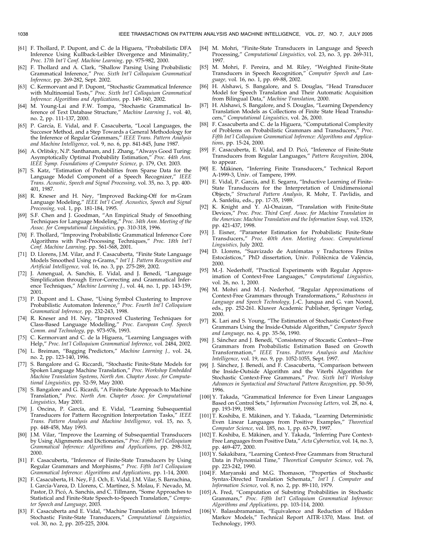- [61] F. Thollard, P. Dupont, and C. de la Higuera, "Probabilistic DFA Inference Using Kullback-Leibler Divergence and Minimality," Proc. 17th Int'l Conf. Machine Learning, pp. 975-982, 2000.
- [62] F. Thollard and A. Clark, "Shallow Parsing Using Probabilistic Grammatical Inference," Proc. Sixth Int'l Colloquium Grammatical Inference, pp. 269-282, Sept. 2002.
- [63] C. Kermorvant and P. Dupont, "Stochastic Grammatical Inference with Multinomial Tests," Proc. Sixth Int'l Colloquium Grammatical Inference: Algorithms and Applications, pp. 149-160, 2002.
- [64] M. Young-Lai and F.W. Tompa, "Stochastic Grammatical Inference of Text Database Structure," Machine Learning J., vol. 40, no. 2, pp. 111-137, 2000.
- [65] P. García, E. Vidal, and F. Casacuberta, "Local Languages, the Succesor Method, and a Step Towards a General Methodology for the Inference of Regular Grammars," IEEE Trans. Pattern Analysis and Machine Intelligence, vol. 9, no. 6, pp. 841-845, June 1987.
- [66] A. Orlitsky, N.P. Santhanam, and J. Zhang, "Always Good Turing: Asymptotically Optimal Probability Estimation," Proc. 44th Ann. IEEE Symp. Foundations of Computer Science, p. 179, Oct. 2003.
- [67] S. Katz, "Estimation of Probabilities from Sparse Data for the Language Model Component of a Speech Recognizer," IEEE Trans. Acoustic, Speech and Signal Processing, vol. 35, no. 3, pp. 400- 401, 1987.
- [68] R. Kneser and H. Ney, "Improved Backing-Off for m-Gram Language Modeling," IEEE Int'l Conf. Acoustics, Speech and Signal Processing, vol. 1, pp. 181-184, 1995.
- [69] S.F. Chen and J. Goodman, "An Empirical Study of Smoothing Techniques for Language Modeling," Proc. 34th Ann. Meeting of the Assoc. for Computational Linguistics, pp. 310-318, 1996.
- [70] F. Thollard, "Improving Probabilistic Grammatical Inference Core Algorithms with Post-Processing Techniques," Proc. 18th Int'l Conf. Machine Learning, pp. 561-568, 2001.
- [71] D. Llorens, J.M. Vilar, and F. Casacuberta, "Finite State Language Models Smoothed Using n-Grams," Int'l J. Pattern Recognition and Artificial Intelligence, vol. 16, no. 3, pp. 275-289, 2002.
- [72] J. Amengual, A. Sanchis, E. Vidal, and J. Benedí, "Language Simplification through Error-Correcting and Grammatical Inference Techniques," Machine Learning J., vol. 44, no. 1, pp. 143-159, 2001.
- [73] P. Dupont and L. Chase, "Using Symbol Clustering to Improve Probabilistic Automaton Inference," Proc. Fourth Int'l Colloquium Grammatical Inference, pp. 232-243, 1998.
- [74] R. Kneser and H. Ney, "Improved Clustering Techniques for Class-Based Language Modelling," Proc. European Conf. Speech Comm. and Technology, pp. 973-976, 1993.
- C. Kermorvant and C. de la Higuera, "Learning Languages with Help," Proc. Int'l Colloquium Grammatical Inference, vol. 2484, 2002.
- [76] L. Breiman, "Bagging Predictors," Machine Learning J., vol. 24, no. 2, pp. 123-140, 1996.
- [77] S. Bangalore and G. Riccardi, "Stochastic Finite-State Models for Spoken Language Machine Translation," Proc. Workshop Embedded Machine Translation Systems, North Am. Chapter Assoc. for Computational Linguistics, pp. 52-59, May 2000.
- [78] S. Bangalore and G. Ricardi, "A Finite-State Approach to Machine Translation," Proc. North Am. Chapter Assoc. for Computational Linguistics, May 2001.
- [79] J. Oncina, P. García, and E. Vidal, "Learning Subsequential Transducers for Pattern Recognition Interpretation Tasks," IEEE Trans. Pattern Analysis and Machine Intelligence, vol. 15, no. 5, pp. 448-458, May 1993.
- [80] J.M. Vilar, "Improve the Learning of Subsequential Transducers by Using Alignments and Dictionaries," Proc. Fifth Int'l Colloquium Grammatical Inference: Algorithms and Applications, pp. 298-312, 2000.
- [81] F. Casacuberta, "Inference of Finite-State Transducers by Using Regular Grammars and Morphisms," Proc. Fifth Int'l Colloquium Grammatical Inference: Algorithms and Applications, pp. 1-14, 2000.
- [82] F. Casacuberta, H. Ney, F.J. Och, E. Vidal, J.M. Vilar, S. Barrachina, I. García-Varea, D. Llorens, C. Martínez, S. Molau, F. Nevado, M. Pastor, D. Picó, A. Sanchis, and C. Tillmann, "Some Approaches to Statistical and Finite-State Speech-to-Speech Translation," Computer Speech and Language, 2003.
- [83] F. Casacuberta and E. Vidal, "Machine Translation with Inferred Stochastic Finite-State Transducers," Computational Linguistics, vol. 30, no. 2, pp. 205-225, 2004.
- [84] M. Mohri, "Finite-State Transducers in Language and Speech Processing," Computational Linguistics, vol. 23, no. 3, pp. 269-311, 1997.
- [85] M. Mohri, F. Pereira, and M. Riley, "Weighted Finite-State Transducers in Speech Recognition," Computer Speech and Language, vol. 16, no. 1, pp. 69-88, 2002.
- [86] H. Alshawi, S. Bangalore, and S. Douglas, "Head Transducer Model for Speech Translation and Their Automatic Acquisition from Bilingual Data," Machine Translation, 2000.
- [87] H. Alshawi, S. Bangalore, and S. Douglas, "Learning Dependency Translation Models as Collections of Finite State Head Transducers," Computational Linguistics, vol. 26, 2000.
- [88] F. Casacuberta and C. de la Higuera, "Computational Complexity of Problems on Probabilistic Grammars and Transducers, Fifth Int'l Colloquium Grammatical Inference: Algorithms and Applications, pp. 15-24, 2000.
- [89] F. Casacuberta, E. Vidal, and D. Picó, "Inference of Finite-State Transducers from Regular Languages," Pattern Recognition, 2004, to appear.
- E. Mäkinen, "Inferring Finite Transducers," Technical Report A-1999-3, Univ. of Tampere, 1999.
- [91] E. Vidal, P. García, and E. Segarra, "Inductive Learning of Finite-State Transducers for the Interpretation of Unidimensional Objects," Structural Pattern Analysis, R. Mohr, T. Pavlidis, and A. Sanfeliu, eds., pp. 17-35, 1989.
- [92] K. Knight and Y. Al-Onaizan, "Translation with Finite-State Devices," Proc. Proc. Third Conf. Assoc. for Machine Translation in the Americas: Machine Translation and the Information Soup, vol. 1529, pp. 421-437, 1998.
- [93] J. Eisner, "Parameter Estimation for Probabilistic Finite-State Transducers," Proc. 40th Ann. Meeting Assoc. Computational Linguistics, July 2002.
- [94] D. Llorens, "Suavizado de Autómatas y Traductores Finitos Estocásticos," PhD dissertation, Univ. Politècnica de València, 2000.
- [95] M.-J. Nederhoff, "Practical Experiments with Regular Approximation of Context-Free Languages," Computational Linguistics, vol. 26, no. 1, 2000.
- [96] M. Mohri and M.-J. Nederhof, "Regular Approximations of Context-Free Grammars through Transformations," Robustness in Language and Speech Technology, J.-C. Junqua and G. van Noord, eds., pp. 252-261. Kluwer Academic Publisher, Springer Verlag, 2000.
- [97] K. Lari and S. Young, "The Estimation of Stochastic Context-Free Grammars Using the Inside-Outside Algorithm," Computer Speech and Language, no. 4, pp. 35-56, 1990.
- J. Sánchez and J. Benedí, "Consistency of Stocastic Context-Free Grammars from Probabilistic Estimation Based on Growth Transformation," IEEE Trans. Pattern Analysis and Machine Intelligence, vol. 19, no. 9, pp. 1052-1055, Sept. 1997.
- J. Sánchez, J. Benedí, and F. Casacuberta, "Comparison between the Inside-Outside Algorithm and the Viterbi Algorithm for Stochastic Context-Free Grammars," Proc. Sixth Int'l Workshop Advances in Syntactical and Structural Pattern Recognition, pp. 50-59, 1996.
- [100] Y. Takada, "Grammatical Inference for Even Linear Languages Based on Control Sets," Information Processing Letters, vol. 28, no. 4, pp. 193-199, 1988.
- [101] T. Koshiba, E. Mäkinen, and Y. Takada, "Learning Deterministic Even Linear Languages from Positive Examples," Theoretical Computer Science, vol. 185, no. 1, pp. 63-79, 1997.
- [102] T. Koshiba, E. Mäkinen, and Y. Takada, "Inferring Pure Context-Free Languages from Positive Data," Acta Cybernetica, vol. 14, no. 3, pp. 469-477, 2000.
- [103] Y. Sakakibara, "Learning Context-Free Grammars from Structural Data in Polynomial Time," Theoretical Computer Science, vol. 76, pp. 223-242, 1990.
- [104] F. Maryanski and M.G. Thomason, "Properties of Stochastic Syntax-Directed Translation Schemata," Int'l J. Computer and Information Science, vol. 8, no. 2, pp. 89-110, 1979.
- [105] A. Fred, "Computation of Substring Probabilities in Stochastic Grammars," Proc. Fifth Int'l Colloquium Grammatical Inference: Algorithms and Applications, pp. 103-114, 2000.
- [106] V. Balasubramanian, "Equivalence and Reduction of Hidden Markov Models," Technical Report AITR-1370, Mass. Inst. of Technology, 1993.